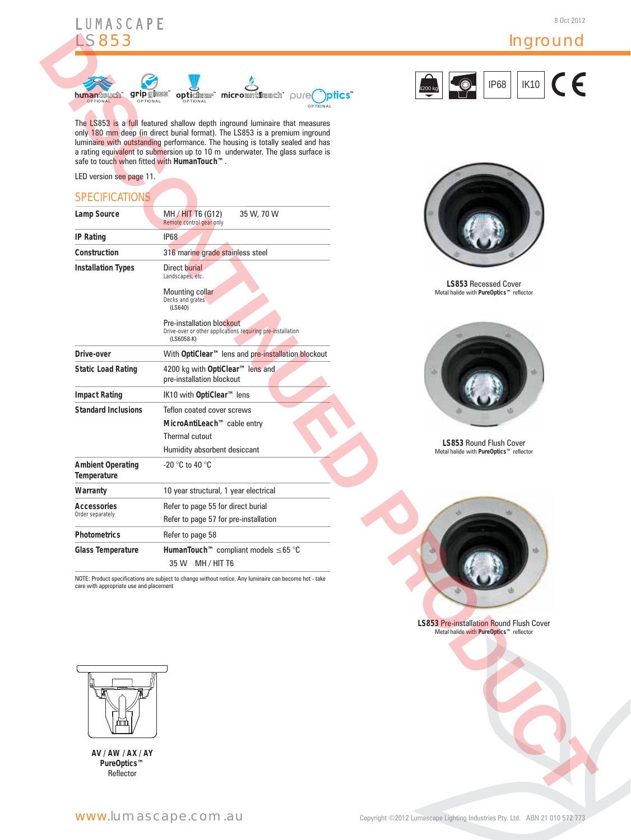

## Inground



### **SPECIFICATIONS**

|                                                                                                        | <b>IK10</b><br><b>IP68</b>                                                                                                                                                                                                                                                                                                                                                                                                                                                                                 |
|--------------------------------------------------------------------------------------------------------|------------------------------------------------------------------------------------------------------------------------------------------------------------------------------------------------------------------------------------------------------------------------------------------------------------------------------------------------------------------------------------------------------------------------------------------------------------------------------------------------------------|
| <b>grip</b> glass<br>opticlear microantileach pure pics                                                | 1200 k                                                                                                                                                                                                                                                                                                                                                                                                                                                                                                     |
| OPTIONAL                                                                                               |                                                                                                                                                                                                                                                                                                                                                                                                                                                                                                            |
| The LS853 is a full featured shallow depth inground luminaire that measures                            |                                                                                                                                                                                                                                                                                                                                                                                                                                                                                                            |
|                                                                                                        |                                                                                                                                                                                                                                                                                                                                                                                                                                                                                                            |
| a rating equivalent to submersion up to 10 m underwater. The glass surface is                          |                                                                                                                                                                                                                                                                                                                                                                                                                                                                                                            |
| safe to touch when fitted with HumanTouch™.                                                            |                                                                                                                                                                                                                                                                                                                                                                                                                                                                                                            |
|                                                                                                        |                                                                                                                                                                                                                                                                                                                                                                                                                                                                                                            |
|                                                                                                        |                                                                                                                                                                                                                                                                                                                                                                                                                                                                                                            |
|                                                                                                        |                                                                                                                                                                                                                                                                                                                                                                                                                                                                                                            |
| Remote control gear only                                                                               |                                                                                                                                                                                                                                                                                                                                                                                                                                                                                                            |
| <b>IP68</b>                                                                                            |                                                                                                                                                                                                                                                                                                                                                                                                                                                                                                            |
| 316 marine grade stainless steel                                                                       |                                                                                                                                                                                                                                                                                                                                                                                                                                                                                                            |
| Direct burial                                                                                          |                                                                                                                                                                                                                                                                                                                                                                                                                                                                                                            |
|                                                                                                        | LS853 Recessed Cover                                                                                                                                                                                                                                                                                                                                                                                                                                                                                       |
|                                                                                                        | Metal halide with PureOptics™ reflector                                                                                                                                                                                                                                                                                                                                                                                                                                                                    |
| (LS640)                                                                                                |                                                                                                                                                                                                                                                                                                                                                                                                                                                                                                            |
| Pre-installation blockout                                                                              |                                                                                                                                                                                                                                                                                                                                                                                                                                                                                                            |
| $(LS6058-K)$                                                                                           |                                                                                                                                                                                                                                                                                                                                                                                                                                                                                                            |
| With OptiClear™ lens and pre-installation blockout                                                     |                                                                                                                                                                                                                                                                                                                                                                                                                                                                                                            |
| 4200 kg with OptiClear™ lens and                                                                       | ŵ                                                                                                                                                                                                                                                                                                                                                                                                                                                                                                          |
| pre-installation blockout                                                                              |                                                                                                                                                                                                                                                                                                                                                                                                                                                                                                            |
| IK10 with OptiClear™ lens                                                                              |                                                                                                                                                                                                                                                                                                                                                                                                                                                                                                            |
| Teflon coated cover screws                                                                             |                                                                                                                                                                                                                                                                                                                                                                                                                                                                                                            |
| MicroAntiLeach™ cable entry                                                                            |                                                                                                                                                                                                                                                                                                                                                                                                                                                                                                            |
| Thermal cutout                                                                                         | LS853 Round Flush Cover                                                                                                                                                                                                                                                                                                                                                                                                                                                                                    |
|                                                                                                        | Metal halide with PureOptics™ reflector                                                                                                                                                                                                                                                                                                                                                                                                                                                                    |
|                                                                                                        |                                                                                                                                                                                                                                                                                                                                                                                                                                                                                                            |
| 10 year structural, 1 year electrical                                                                  |                                                                                                                                                                                                                                                                                                                                                                                                                                                                                                            |
| Refer to page 55 for direct burial                                                                     |                                                                                                                                                                                                                                                                                                                                                                                                                                                                                                            |
|                                                                                                        |                                                                                                                                                                                                                                                                                                                                                                                                                                                                                                            |
| Refer to page 58                                                                                       |                                                                                                                                                                                                                                                                                                                                                                                                                                                                                                            |
| HumanTouch™ compliant models ≤65 °C                                                                    | ь                                                                                                                                                                                                                                                                                                                                                                                                                                                                                                          |
| 35 W MH / HIT T6                                                                                       |                                                                                                                                                                                                                                                                                                                                                                                                                                                                                                            |
| NOTE: Product specifications are subject to change without notice. Any luminaire can become hot - take |                                                                                                                                                                                                                                                                                                                                                                                                                                                                                                            |
|                                                                                                        |                                                                                                                                                                                                                                                                                                                                                                                                                                                                                                            |
|                                                                                                        |                                                                                                                                                                                                                                                                                                                                                                                                                                                                                                            |
|                                                                                                        | <b>LS853 Pre-installation Round Flush Cover</b><br>Metal halide with PureOptics™ reflector                                                                                                                                                                                                                                                                                                                                                                                                                 |
|                                                                                                        |                                                                                                                                                                                                                                                                                                                                                                                                                                                                                                            |
|                                                                                                        |                                                                                                                                                                                                                                                                                                                                                                                                                                                                                                            |
|                                                                                                        |                                                                                                                                                                                                                                                                                                                                                                                                                                                                                                            |
|                                                                                                        |                                                                                                                                                                                                                                                                                                                                                                                                                                                                                                            |
|                                                                                                        |                                                                                                                                                                                                                                                                                                                                                                                                                                                                                                            |
|                                                                                                        |                                                                                                                                                                                                                                                                                                                                                                                                                                                                                                            |
|                                                                                                        |                                                                                                                                                                                                                                                                                                                                                                                                                                                                                                            |
|                                                                                                        |                                                                                                                                                                                                                                                                                                                                                                                                                                                                                                            |
|                                                                                                        |                                                                                                                                                                                                                                                                                                                                                                                                                                                                                                            |
|                                                                                                        |                                                                                                                                                                                                                                                                                                                                                                                                                                                                                                            |
|                                                                                                        | OPTIONAL<br>OPTIONAL<br>only 180 mm deep (in direct burial format). The LS853 is a premium inground<br>luminaire with outstanding performance. The housing is totally sealed and has<br>MH / HIT T6 (G12)<br>35 W, 70 W<br>Landscapes, etc.<br>Mounting collar<br>Decks and grates<br>Drive-over or other applications requiring pre-installation<br>Humidity absorbent desiccant<br>-20 $\degree$ C to 40 $\degree$ C<br>Refer to page 57 for pre-installation<br>care with appropriate use and placement |





**LS853** Recessed Cover Metal halide with **PureOptics™** reflector





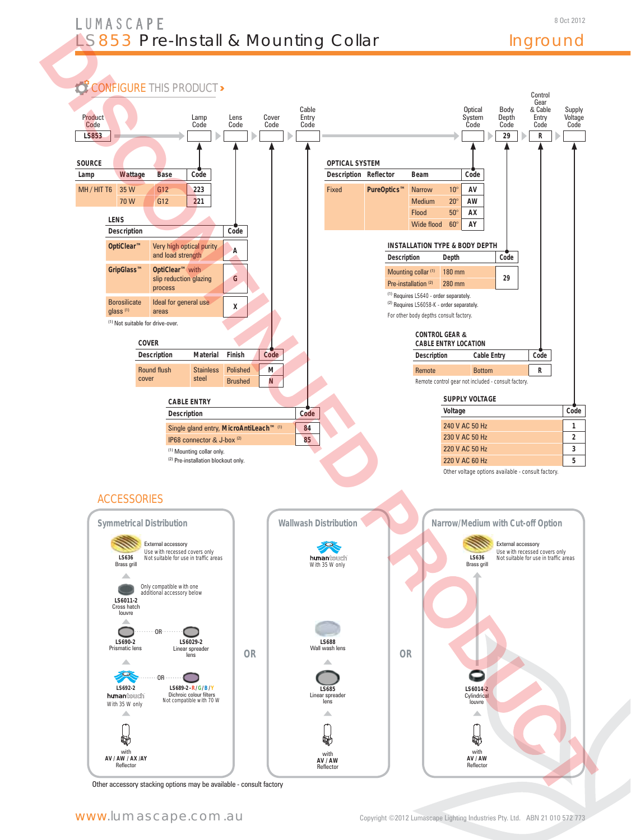# LUMASCAPE **LS853 Pre-Install & Mounting Collar Inground**



Other accessory stacking options may be available - consult factory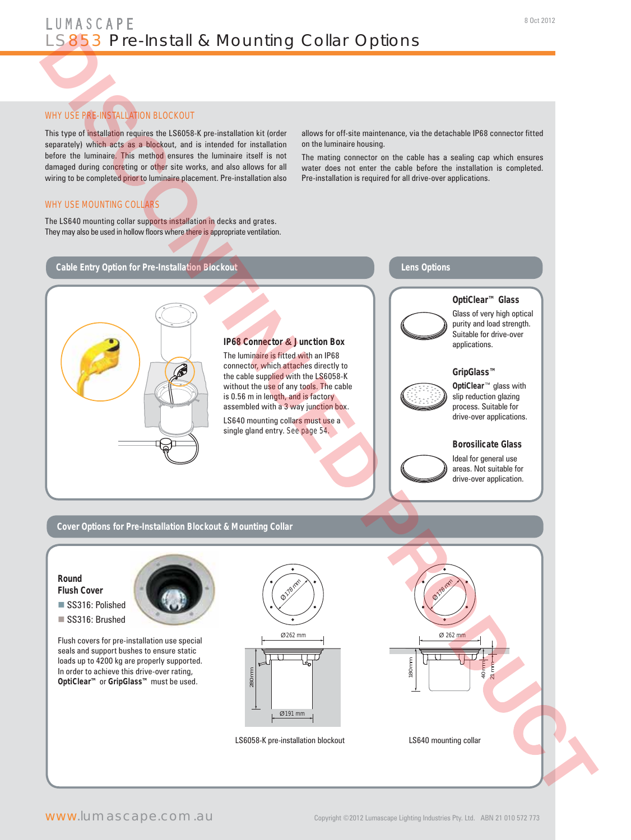#### WHY USE PRE-INSTALLATION BLOCKOUT

This type of installation requires the LS6058-K pre-installation kit (order separately) which acts as a blockout, and is intended for installation before the luminaire. This method ensures the luminaire itself is not damaged during concreting or other site works, and also allows for all wiring to be completed prior to luminaire placement. Pre-installation also

allows for off-site maintenance, via the detachable IP68 connector fitted on the luminaire housing.

The mating connector on the cable has a sealing cap which ensures water does not enter the cable before the installation is completed. Pre-installation is required for all drive-over applications.

#### WHY USE MOUNTING COLLARS

The LS640 mounting collar supports installation in decks and grates. They may also be used in hollow floors where there is appropriate ventilation.

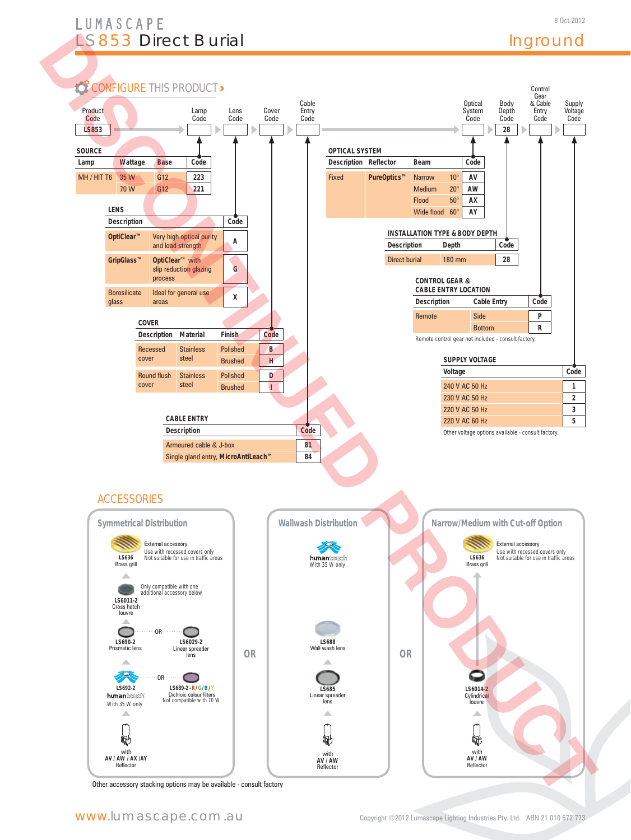# LUMASCAPE LS853 Direct Burial

# Inground



Other accessory stacking options may be available - consult factory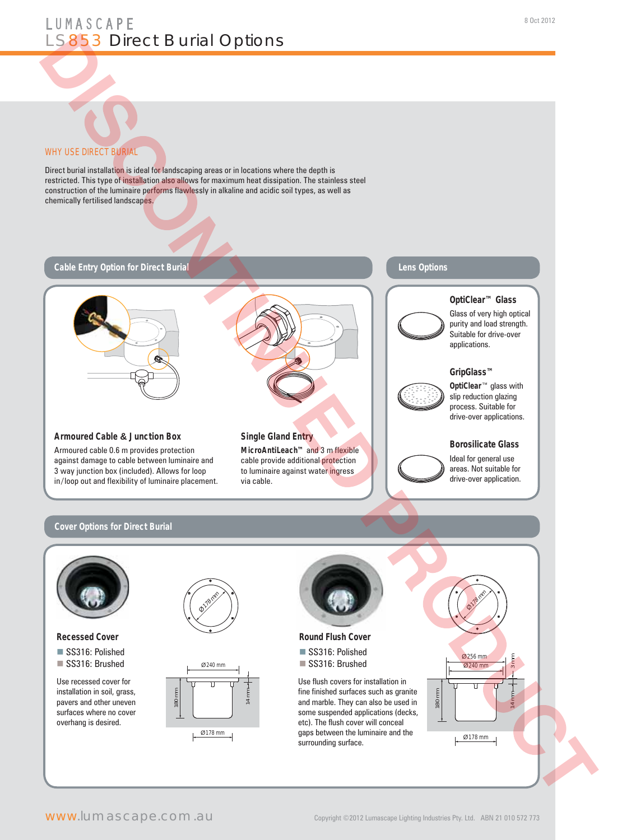

Direct burial installation is ideal for landscaping areas or in locations where the depth is restricted. This type of installation also allows for maximum heat dissipation. The stainless steel construction of the luminaire performs flawlessly in alkaline and acidic soil types, as well as chemically fertilised landscapes.



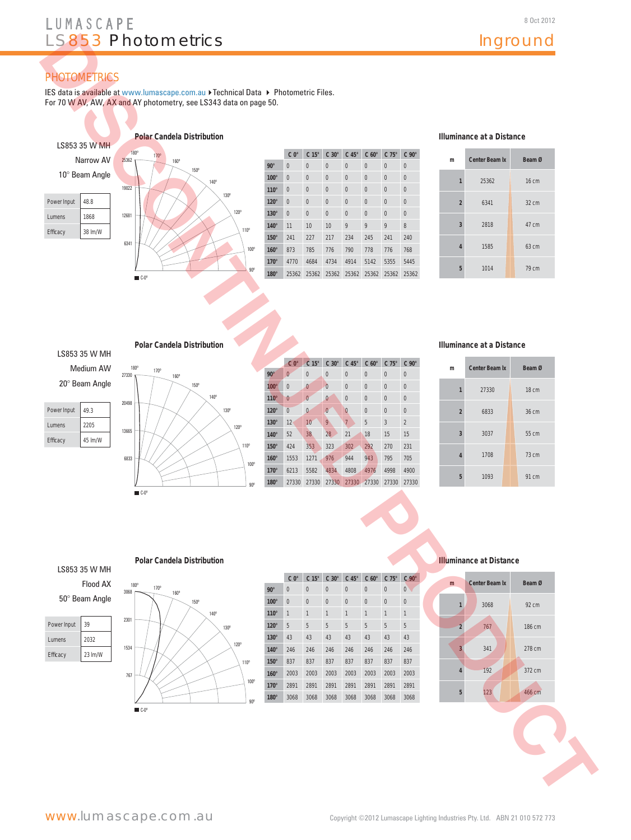# LUMASCAPE LS853 Photometrics and a large linground

# **PHOTOMETRICS**

IES data is available at www.lumascape.com.au ▶ Technical Data ▶ Photometric Files. For 70 W AV, AW, AX and AY photometry, see LS343 data on page 50.

> 140º 130º 120º 110º  $100$

> > 90º



|             | $C_0^{\circ}$  | $C 15^\circ$   | $C 30^\circ$   | $C$ 45 $^{\circ}$ | $C 60^\circ$ | $C75^\circ$  | $C90^\circ$    |
|-------------|----------------|----------------|----------------|-------------------|--------------|--------------|----------------|
| $90^\circ$  | 0              | $\overline{0}$ | $\mathbf{0}$   | $\overline{0}$    | $\mathbf{0}$ | $\mathbf{0}$ | 0              |
| $100^\circ$ | 0              | $\overline{0}$ | $\theta$       | $\overline{0}$    | $\mathbf{0}$ | $\mathbf{0}$ | 0              |
| $110^\circ$ | $\overline{0}$ | $\overline{0}$ | $\mathbf{0}$   | $\overline{0}$    | $\mathbf{0}$ | $\mathbf{0}$ | $\overline{0}$ |
| $120^\circ$ | $\overline{0}$ | $\Omega$       | $\mathbf{0}$   | $\overline{0}$    | $\mathbf{0}$ | $\mathbf{0}$ | $\mathbf{0}$   |
| $130^\circ$ | $\overline{0}$ | $\overline{0}$ | $\overline{0}$ | $\overline{0}$    | $\mathbf{0}$ | $\mathbf{0}$ | 0              |
| $140^\circ$ | 11             | 10             | 10             | 9                 | 9            | 9            | 8              |
| $150^\circ$ | 241            | 227            | 217            | 234               | 245          | 241          | 240            |
| $160^\circ$ | 873            | 785            | 776            | 790               | 778          | 776          | 768            |
| $170^\circ$ | 4770           | 4684           | 4734           | 4914              | 5142         | 5355         | 5445           |
| $180^\circ$ | 25362          | 25362          | 25362          | 25362             | 25362        | 25362        | 25362          |

#### **Illuminance at a Distance**

| m              | Center Beam Ix | Beam Ø          |
|----------------|----------------|-----------------|
| $\mathbf{1}$   | 25362          | 16 cm           |
| $\overline{2}$ | 6341           | $32 \text{ cm}$ |
| $\overline{3}$ | 2818           | 47 cm           |
| $\overline{4}$ | 1585           | 63 cm           |
| 5              | 1014           | 79 cm           |

#### **Polar Candela Distribution**



20° Beam Angle

| Power Input   | 49.3    |
|---------------|---------|
| <b>Lumens</b> | 2205    |
| Efficacy      | 45 lm/W |



|             | $C_0^{\circ}$  | C <sub>15</sub> ° | $C 30^\circ$   | $C$ 45 $^{\circ}$ | $C 60^\circ$ | $C$ 75 $^{\circ}$ | $C90^\circ$    |
|-------------|----------------|-------------------|----------------|-------------------|--------------|-------------------|----------------|
| $90^\circ$  | $\mathbf{0}$   | $\mathbf{0}$      | 0              | $\overline{0}$    | $\mathbf{0}$ | $\mathbf{0}$      | $\mathbf 0$    |
| $100^\circ$ | $\overline{0}$ | $\bf{0}$          | $\overline{0}$ | $\overline{0}$    | $\mathbf{0}$ | $\mathbf{0}$      | $\mathbf{0}$   |
| $110^\circ$ | $\bf{0}$       | $\bf{0}$          | $\bf{0}$       | $\overline{0}$    | $\mathbf{0}$ | $\mathbf{0}$      | $\mathbf{0}$   |
| $120^\circ$ | $\overline{0}$ | $\overline{0}$    | $\bf{0}$       | $\bf{0}$          | $\mathbf{0}$ | $\mathbf{0}$      | $\mathbf 0$    |
| $130^\circ$ | 12             | 10                | 9              | $\overline{7}$    | 5            | 3                 | $\overline{2}$ |
| $140^\circ$ | 52             | 38                | 28             | 21                | 18           | 15                | 15             |
| $150^\circ$ | 424            | 353               | 323            | 302               | 292          | 270               | 231            |
| $160^\circ$ | 1553           | 1271              | 976            | 944               | 943          | 795               | 705            |
| $170^\circ$ | 6213           | 5582              | 4834           | 4808              | 4976         | 4998              | 4900           |
| 180°        | 27330          | 27330             | 27330          | 27330             | 27330        | 27330             | 27330          |

#### **Illuminance at a Distance**

| m              | Center Beam Ix | Beam Ø |
|----------------|----------------|--------|
| 1              | 27330          | 18 cm  |
| $\overline{2}$ | 6833           | 36 cm  |
| 3              | 3037           | 55 cm  |
| 4              | 1708           | 73 cm  |
| 5              | 1093           | 91 cm  |

## LS853 35 W MH Flood AX

50° Beam Angle

| Power Input   | 39      |
|---------------|---------|
| <b>Lumens</b> | 2032    |
| Efficacy      | 23 lm/W |

| 170°<br>160° | $90^\circ$  |  |
|--------------|-------------|--|
| 150°         | $100^\circ$ |  |
| 140°         | $110^\circ$ |  |
| 130°         | $120^\circ$ |  |
|              | $130^\circ$ |  |
| 120°         | $140^\circ$ |  |
| $110^{o}$    | 150°        |  |
|              | $160^\circ$ |  |
| 100°         | $170^\circ$ |  |
| $90^\circ$   | 180°        |  |
|              |             |  |
|              |             |  |

#### **C 0° C 15° C 30° C 45° C 60° C 75° C 90° 90°** 0000000 **100°** 0 0 0 0 0 0 0 0 **110°** 1 1 1 1 1 1 1 **120°** 5555555 **130°** 43 43 43 43 43 43 43 **140°** 246 246 246 246 246 246 246 **150°** 837 837 837 837 837 837 837 **160°** 2003 2003 2003 2003 2003 2003 2003 **170°** 2891 2891 2891 2891 2891 2891 2891 **180°** 3068 3068 3068 3068 3068 3068 3068

#### **Polar Candela Distribution Illuminance at Distance**



767

C-0º

1534

2301

3068

170º 180º